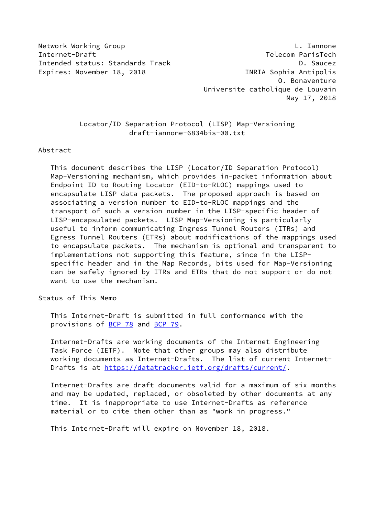Network Working Group **L. Iannone** Internet-Draft Telecom ParisTech Intended status: Standards Track D. Saucez Expires: November 18, 2018 **INRIA** Sophia Antipolis

 O. Bonaventure Universite catholique de Louvain May 17, 2018

## Locator/ID Separation Protocol (LISP) Map-Versioning draft-iannone-6834bis-00.txt

#### Abstract

 This document describes the LISP (Locator/ID Separation Protocol) Map-Versioning mechanism, which provides in-packet information about Endpoint ID to Routing Locator (EID-to-RLOC) mappings used to encapsulate LISP data packets. The proposed approach is based on associating a version number to EID-to-RLOC mappings and the transport of such a version number in the LISP-specific header of LISP-encapsulated packets. LISP Map-Versioning is particularly useful to inform communicating Ingress Tunnel Routers (ITRs) and Egress Tunnel Routers (ETRs) about modifications of the mappings used to encapsulate packets. The mechanism is optional and transparent to implementations not supporting this feature, since in the LISP specific header and in the Map Records, bits used for Map-Versioning can be safely ignored by ITRs and ETRs that do not support or do not want to use the mechanism.

Status of This Memo

 This Internet-Draft is submitted in full conformance with the provisions of [BCP 78](https://datatracker.ietf.org/doc/pdf/bcp78) and [BCP 79](https://datatracker.ietf.org/doc/pdf/bcp79).

 Internet-Drafts are working documents of the Internet Engineering Task Force (IETF). Note that other groups may also distribute working documents as Internet-Drafts. The list of current Internet- Drafts is at<https://datatracker.ietf.org/drafts/current/>.

 Internet-Drafts are draft documents valid for a maximum of six months and may be updated, replaced, or obsoleted by other documents at any time. It is inappropriate to use Internet-Drafts as reference material or to cite them other than as "work in progress."

This Internet-Draft will expire on November 18, 2018.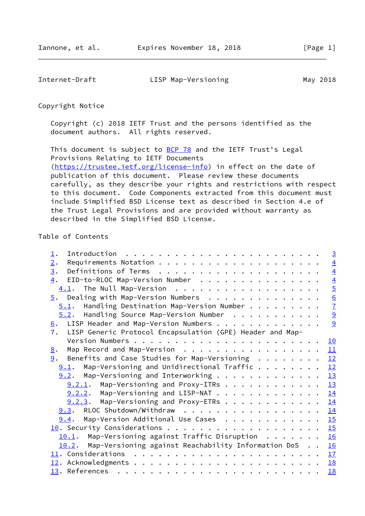Internet-Draft LISP Map-Versioning May 2018

Copyright Notice

 Copyright (c) 2018 IETF Trust and the persons identified as the document authors. All rights reserved.

This document is subject to **[BCP 78](https://datatracker.ietf.org/doc/pdf/bcp78)** and the IETF Trust's Legal Provisions Relating to IETF Documents [\(https://trustee.ietf.org/license-info](https://trustee.ietf.org/license-info)) in effect on the date of publication of this document. Please review these documents carefully, as they describe your rights and restrictions with respect to this document. Code Components extracted from this document must include Simplified BSD License text as described in Section 4.e of the Trust Legal Provisions and are provided without warranty as described in the Simplified BSD License.

# Table of Contents

| 2.<br>3.<br>EID-to-RLOC Map-Version Number<br>4.<br>$\overline{5}$ . Dealing with Map-Version Numbers<br>Handling Destination Map-Version Number<br>5.1.<br>$\overline{9}$<br>$5.2$ . Handling Source Map-Version Number<br>$\underline{6}$ . LISP Header and Map-Version Numbers<br>7.<br>LISP Generic Protocol Encapsulation (GPE) Header and Map-<br>10<br>Map Record and Map-Version 11<br>8.<br>12<br>Benefits and Case Studies for Map-Versioning $\cdot \cdot \cdot \cdot \cdot \cdot$<br>9.<br>12<br>$9.1$ . Map-Versioning and Unidirectional Traffic<br>13<br>$9.2$ . Map-Versioning and Interworking<br>13<br>$9.2.1$ . Map-Versioning and Proxy-ITRs<br>$9.2.2$ . Map-Versioning and LISP-NAT<br>14 |
|-----------------------------------------------------------------------------------------------------------------------------------------------------------------------------------------------------------------------------------------------------------------------------------------------------------------------------------------------------------------------------------------------------------------------------------------------------------------------------------------------------------------------------------------------------------------------------------------------------------------------------------------------------------------------------------------------------------------|
|                                                                                                                                                                                                                                                                                                                                                                                                                                                                                                                                                                                                                                                                                                                 |
|                                                                                                                                                                                                                                                                                                                                                                                                                                                                                                                                                                                                                                                                                                                 |
|                                                                                                                                                                                                                                                                                                                                                                                                                                                                                                                                                                                                                                                                                                                 |
|                                                                                                                                                                                                                                                                                                                                                                                                                                                                                                                                                                                                                                                                                                                 |
|                                                                                                                                                                                                                                                                                                                                                                                                                                                                                                                                                                                                                                                                                                                 |
|                                                                                                                                                                                                                                                                                                                                                                                                                                                                                                                                                                                                                                                                                                                 |
|                                                                                                                                                                                                                                                                                                                                                                                                                                                                                                                                                                                                                                                                                                                 |
|                                                                                                                                                                                                                                                                                                                                                                                                                                                                                                                                                                                                                                                                                                                 |
|                                                                                                                                                                                                                                                                                                                                                                                                                                                                                                                                                                                                                                                                                                                 |
|                                                                                                                                                                                                                                                                                                                                                                                                                                                                                                                                                                                                                                                                                                                 |
|                                                                                                                                                                                                                                                                                                                                                                                                                                                                                                                                                                                                                                                                                                                 |
|                                                                                                                                                                                                                                                                                                                                                                                                                                                                                                                                                                                                                                                                                                                 |
|                                                                                                                                                                                                                                                                                                                                                                                                                                                                                                                                                                                                                                                                                                                 |
|                                                                                                                                                                                                                                                                                                                                                                                                                                                                                                                                                                                                                                                                                                                 |
|                                                                                                                                                                                                                                                                                                                                                                                                                                                                                                                                                                                                                                                                                                                 |
|                                                                                                                                                                                                                                                                                                                                                                                                                                                                                                                                                                                                                                                                                                                 |
| $9.2.3$ . Map-Versioning and Proxy-ETRs<br>14                                                                                                                                                                                                                                                                                                                                                                                                                                                                                                                                                                                                                                                                   |
| 9.3. RLOC Shutdown/Withdraw<br>14                                                                                                                                                                                                                                                                                                                                                                                                                                                                                                                                                                                                                                                                               |
| Map-Version Additional Use Cases<br>15<br>9.4.                                                                                                                                                                                                                                                                                                                                                                                                                                                                                                                                                                                                                                                                  |
| 15                                                                                                                                                                                                                                                                                                                                                                                                                                                                                                                                                                                                                                                                                                              |
| 10.1. Map-Versioning against Traffic Disruption<br>16                                                                                                                                                                                                                                                                                                                                                                                                                                                                                                                                                                                                                                                           |
| 10.2. Map-Versioning against Reachability Information DoS<br>16                                                                                                                                                                                                                                                                                                                                                                                                                                                                                                                                                                                                                                                 |
| 17                                                                                                                                                                                                                                                                                                                                                                                                                                                                                                                                                                                                                                                                                                              |
| 18                                                                                                                                                                                                                                                                                                                                                                                                                                                                                                                                                                                                                                                                                                              |
| 18                                                                                                                                                                                                                                                                                                                                                                                                                                                                                                                                                                                                                                                                                                              |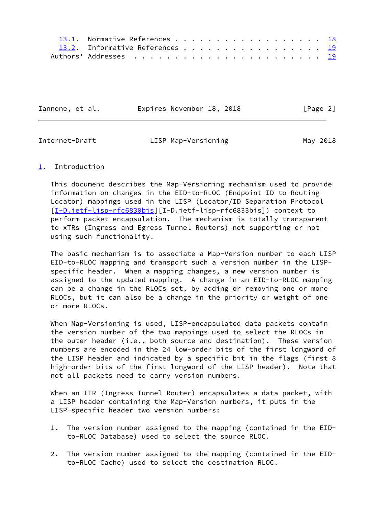| 13.1. Normative References 18   |  |  |  |  |  |  |  |  |  |
|---------------------------------|--|--|--|--|--|--|--|--|--|
| 13.2. Informative References 19 |  |  |  |  |  |  |  |  |  |
|                                 |  |  |  |  |  |  |  |  |  |

| Iannone, et al. |  | Expires November 18, 2018 |  | [Page 2] |  |
|-----------------|--|---------------------------|--|----------|--|
|                 |  |                           |  |          |  |

<span id="page-2-1"></span>Internet-Draft **LISP Map-Versioning May 2018** 

## <span id="page-2-0"></span>[1](#page-2-0). Introduction

 This document describes the Map-Versioning mechanism used to provide information on changes in the EID-to-RLOC (Endpoint ID to Routing Locator) mappings used in the LISP (Locator/ID Separation Protocol [\[I-D.ietf-lisp-rfc6830bis](#page-20-2)][I-D.ietf-lisp-rfc6833bis]) context to perform packet encapsulation. The mechanism is totally transparent to xTRs (Ingress and Egress Tunnel Routers) not supporting or not using such functionality.

 The basic mechanism is to associate a Map-Version number to each LISP EID-to-RLOC mapping and transport such a version number in the LISP specific header. When a mapping changes, a new version number is assigned to the updated mapping. A change in an EID-to-RLOC mapping can be a change in the RLOCs set, by adding or removing one or more RLOCs, but it can also be a change in the priority or weight of one or more RLOCs.

When Map-Versioning is used, LISP-encapsulated data packets contain the version number of the two mappings used to select the RLOCs in the outer header (i.e., both source and destination). These version numbers are encoded in the 24 low-order bits of the first longword of the LISP header and indicated by a specific bit in the flags (first 8 high-order bits of the first longword of the LISP header). Note that not all packets need to carry version numbers.

 When an ITR (Ingress Tunnel Router) encapsulates a data packet, with a LISP header containing the Map-Version numbers, it puts in the LISP-specific header two version numbers:

- 1. The version number assigned to the mapping (contained in the EID to-RLOC Database) used to select the source RLOC.
- 2. The version number assigned to the mapping (contained in the EID to-RLOC Cache) used to select the destination RLOC.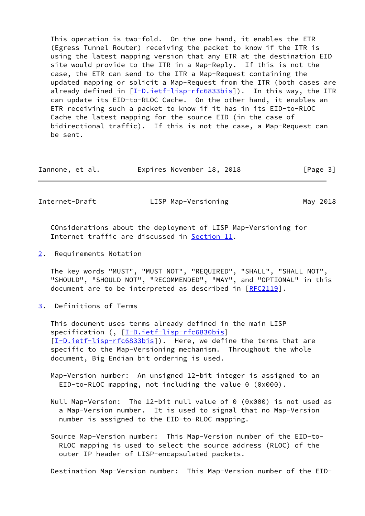This operation is two-fold. On the one hand, it enables the ETR (Egress Tunnel Router) receiving the packet to know if the ITR is using the latest mapping version that any ETR at the destination EID site would provide to the ITR in a Map-Reply. If this is not the case, the ETR can send to the ITR a Map-Request containing the updated mapping or solicit a Map-Request from the ITR (both cases are already defined in [[I-D.ietf-lisp-rfc6833bis\]](#page-20-3)). In this way, the ITR can update its EID-to-RLOC Cache. On the other hand, it enables an ETR receiving such a packet to know if it has in its EID-to-RLOC Cache the latest mapping for the source EID (in the case of bidirectional traffic). If this is not the case, a Map-Request can be sent.

| Iannone, et al. | Expires November 18, 2018 |  | [Page 3] |
|-----------------|---------------------------|--|----------|
|-----------------|---------------------------|--|----------|

<span id="page-3-1"></span>Internet-Draft LISP Map-Versioning May 2018

 COnsiderations about the deployment of LISP Map-Versioning for Internet traffic are discussed in [Section 11.](#page-18-0)

<span id="page-3-0"></span>[2](#page-3-0). Requirements Notation

 The key words "MUST", "MUST NOT", "REQUIRED", "SHALL", "SHALL NOT", "SHOULD", "SHOULD NOT", "RECOMMENDED", "MAY", and "OPTIONAL" in this document are to be interpreted as described in [\[RFC2119](https://datatracker.ietf.org/doc/pdf/rfc2119)].

<span id="page-3-2"></span>[3](#page-3-2). Definitions of Terms

 This document uses terms already defined in the main LISP specification (, [\[I-D.ietf-lisp-rfc6830bis](#page-20-2)] [\[I-D.ietf-lisp-rfc6833bis](#page-20-3)]). Here, we define the terms that are specific to the Map-Versioning mechanism. Throughout the whole document, Big Endian bit ordering is used.

 Map-Version number: An unsigned 12-bit integer is assigned to an EID-to-RLOC mapping, not including the value 0 (0x000).

- Null Map-Version: The 12-bit null value of 0 (0x000) is not used as a Map-Version number. It is used to signal that no Map-Version number is assigned to the EID-to-RLOC mapping.
- Source Map-Version number: This Map-Version number of the EID-to- RLOC mapping is used to select the source address (RLOC) of the outer IP header of LISP-encapsulated packets.

Destination Map-Version number: This Map-Version number of the EID-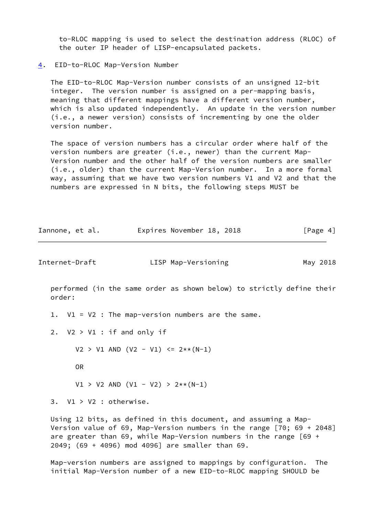to-RLOC mapping is used to select the destination address (RLOC) of the outer IP header of LISP-encapsulated packets.

<span id="page-4-0"></span>[4](#page-4-0). EID-to-RLOC Map-Version Number

 The EID-to-RLOC Map-Version number consists of an unsigned 12-bit integer. The version number is assigned on a per-mapping basis, meaning that different mappings have a different version number, which is also updated independently. An update in the version number (i.e., a newer version) consists of incrementing by one the older version number.

 The space of version numbers has a circular order where half of the version numbers are greater (i.e., newer) than the current Map- Version number and the other half of the version numbers are smaller (i.e., older) than the current Map-Version number. In a more formal way, assuming that we have two version numbers V1 and V2 and that the numbers are expressed in N bits, the following steps MUST be

| Iannone, et al. | Expires November 18, 2018 | [Page 4] |
|-----------------|---------------------------|----------|
|-----------------|---------------------------|----------|

<span id="page-4-1"></span>Internet-Draft LISP Map-Versioning May 2018

 performed (in the same order as shown below) to strictly define their order:

- 1. V1 = V2 : The map-version numbers are the same.
- 2. V2 > V1 : if and only if

 $V2 > V1$  AND  $(V2 - V1) \le 2** (N-1)$ 

OR

 $V1 > V2$  AND  $(V1 - V2) > 2** (N-1)$ 

3. V1 > V2 : otherwise.

 Using 12 bits, as defined in this document, and assuming a Map- Version value of 69, Map-Version numbers in the range [70; 69 + 2048] are greater than 69, while Map-Version numbers in the range [69 + 2049; (69 + 4096) mod 4096] are smaller than 69.

 Map-version numbers are assigned to mappings by configuration. The initial Map-Version number of a new EID-to-RLOC mapping SHOULD be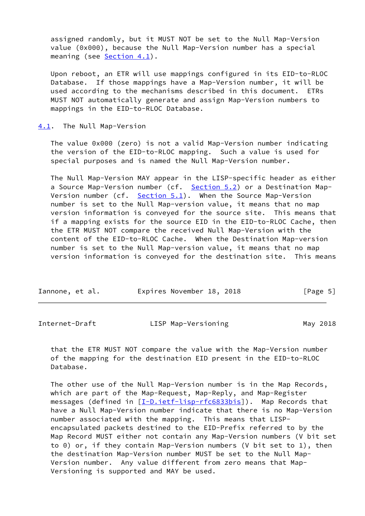assigned randomly, but it MUST NOT be set to the Null Map-Version value (0x000), because the Null Map-Version number has a special meaning (see [Section 4.1](#page-5-0)).

 Upon reboot, an ETR will use mappings configured in its EID-to-RLOC Database. If those mappings have a Map-Version number, it will be used according to the mechanisms described in this document. ETRs MUST NOT automatically generate and assign Map-Version numbers to mappings in the EID-to-RLOC Database.

<span id="page-5-0"></span>[4.1](#page-5-0). The Null Map-Version

 The value 0x000 (zero) is not a valid Map-Version number indicating the version of the EID-to-RLOC mapping. Such a value is used for special purposes and is named the Null Map-Version number.

 The Null Map-Version MAY appear in the LISP-specific header as either a Source Map-Version number (cf. [Section 5.2](#page-9-0)) or a Destination Map- Version number (cf. [Section 5.1](#page-7-0)). When the Source Map-Version number is set to the Null Map-version value, it means that no map version information is conveyed for the source site. This means that if a mapping exists for the source EID in the EID-to-RLOC Cache, then the ETR MUST NOT compare the received Null Map-Version with the content of the EID-to-RLOC Cache. When the Destination Map-version number is set to the Null Map-version value, it means that no map version information is conveyed for the destination site. This means

| Iannone, et al. | Expires November 18, 2018 | [Page 5] |
|-----------------|---------------------------|----------|
|-----------------|---------------------------|----------|

<span id="page-5-1"></span>

| Internet-Draft | LISP Map-Versioning | May 2018 |
|----------------|---------------------|----------|
|----------------|---------------------|----------|

 that the ETR MUST NOT compare the value with the Map-Version number of the mapping for the destination EID present in the EID-to-RLOC Database.

 The other use of the Null Map-Version number is in the Map Records, which are part of the Map-Request, Map-Reply, and Map-Register messages (defined in [\[I-D.ietf-lisp-rfc6833bis](#page-20-3)]). Map Records that have a Null Map-Version number indicate that there is no Map-Version number associated with the mapping. This means that LISP encapsulated packets destined to the EID-Prefix referred to by the Map Record MUST either not contain any Map-Version numbers (V bit set to 0) or, if they contain Map-Version numbers (V bit set to 1), then the destination Map-Version number MUST be set to the Null Map- Version number. Any value different from zero means that Map- Versioning is supported and MAY be used.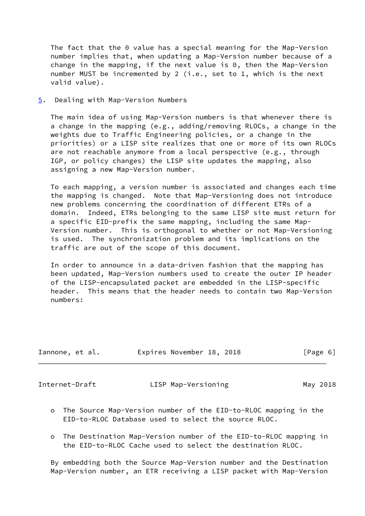The fact that the 0 value has a special meaning for the Map-Version number implies that, when updating a Map-Version number because of a change in the mapping, if the next value is 0, then the Map-Version number MUST be incremented by 2 (i.e., set to 1, which is the next valid value).

<span id="page-6-0"></span>[5](#page-6-0). Dealing with Map-Version Numbers

 The main idea of using Map-Version numbers is that whenever there is a change in the mapping (e.g., adding/removing RLOCs, a change in the weights due to Traffic Engineering policies, or a change in the priorities) or a LISP site realizes that one or more of its own RLOCs are not reachable anymore from a local perspective (e.g., through IGP, or policy changes) the LISP site updates the mapping, also assigning a new Map-Version number.

 To each mapping, a version number is associated and changes each time the mapping is changed. Note that Map-Versioning does not introduce new problems concerning the coordination of different ETRs of a domain. Indeed, ETRs belonging to the same LISP site must return for a specific EID-prefix the same mapping, including the same Map- Version number. This is orthogonal to whether or not Map-Versioning is used. The synchronization problem and its implications on the traffic are out of the scope of this document.

 In order to announce in a data-driven fashion that the mapping has been updated, Map-Version numbers used to create the outer IP header of the LISP-encapsulated packet are embedded in the LISP-specific header. This means that the header needs to contain two Map-Version numbers:

| Iannone, et al. |  | Expires November 18, 2018 |  | [Page 6] |  |
|-----------------|--|---------------------------|--|----------|--|

<span id="page-6-1"></span>

Internet-Draft LISP Map-Versioning May 2018

- o The Source Map-Version number of the EID-to-RLOC mapping in the EID-to-RLOC Database used to select the source RLOC.
- o The Destination Map-Version number of the EID-to-RLOC mapping in the EID-to-RLOC Cache used to select the destination RLOC.

 By embedding both the Source Map-Version number and the Destination Map-Version number, an ETR receiving a LISP packet with Map-Version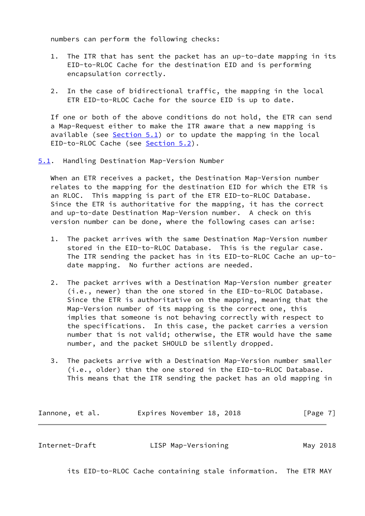numbers can perform the following checks:

- 1. The ITR that has sent the packet has an up-to-date mapping in its EID-to-RLOC Cache for the destination EID and is performing encapsulation correctly.
- 2. In the case of bidirectional traffic, the mapping in the local ETR EID-to-RLOC Cache for the source EID is up to date.

 If one or both of the above conditions do not hold, the ETR can send a Map-Request either to make the ITR aware that a new mapping is available (see  $Section 5.1$ ) or to update the mapping in the local EID-to-RLOC Cache (see [Section 5.2](#page-9-0)).

<span id="page-7-0"></span>[5.1](#page-7-0). Handling Destination Map-Version Number

 When an ETR receives a packet, the Destination Map-Version number relates to the mapping for the destination EID for which the ETR is an RLOC. This mapping is part of the ETR EID-to-RLOC Database. Since the ETR is authoritative for the mapping, it has the correct and up-to-date Destination Map-Version number. A check on this version number can be done, where the following cases can arise:

- 1. The packet arrives with the same Destination Map-Version number stored in the EID-to-RLOC Database. This is the regular case. The ITR sending the packet has in its EID-to-RLOC Cache an up-to date mapping. No further actions are needed.
- 2. The packet arrives with a Destination Map-Version number greater (i.e., newer) than the one stored in the EID-to-RLOC Database. Since the ETR is authoritative on the mapping, meaning that the Map-Version number of its mapping is the correct one, this implies that someone is not behaving correctly with respect to the specifications. In this case, the packet carries a version number that is not valid; otherwise, the ETR would have the same number, and the packet SHOULD be silently dropped.
- 3. The packets arrive with a Destination Map-Version number smaller (i.e., older) than the one stored in the EID-to-RLOC Database. This means that the ITR sending the packet has an old mapping in

| Iannone, et al. | Expires November 18, 2018 |  | [Page 7] |
|-----------------|---------------------------|--|----------|
|-----------------|---------------------------|--|----------|

Internet-Draft **LISP Map-Versioning May 2018** 

its EID-to-RLOC Cache containing stale information. The ETR MAY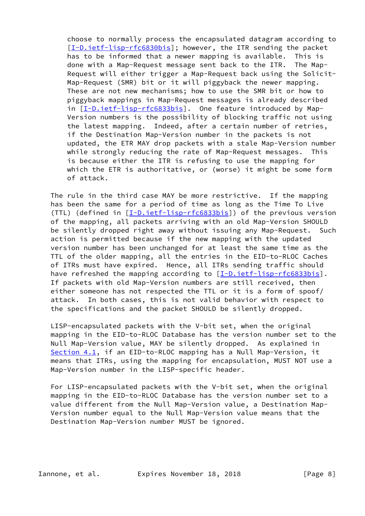choose to normally process the encapsulated datagram according to [\[I-D.ietf-lisp-rfc6830bis](#page-20-2)]; however, the ITR sending the packet has to be informed that a newer mapping is available. This is done with a Map-Request message sent back to the ITR. The Map- Request will either trigger a Map-Request back using the Solicit- Map-Request (SMR) bit or it will piggyback the newer mapping. These are not new mechanisms; how to use the SMR bit or how to piggyback mappings in Map-Request messages is already described in [\[I-D.ietf-lisp-rfc6833bis](#page-20-3)]. One feature introduced by Map- Version numbers is the possibility of blocking traffic not using the latest mapping. Indeed, after a certain number of retries, if the Destination Map-Version number in the packets is not updated, the ETR MAY drop packets with a stale Map-Version number while strongly reducing the rate of Map-Request messages. This is because either the ITR is refusing to use the mapping for which the ETR is authoritative, or (worse) it might be some form of attack.

 The rule in the third case MAY be more restrictive. If the mapping has been the same for a period of time as long as the Time To Live (TTL) (defined in [[I-D.ietf-lisp-rfc6833bis\]](#page-20-3)) of the previous version of the mapping, all packets arriving with an old Map-Version SHOULD be silently dropped right away without issuing any Map-Request. Such action is permitted because if the new mapping with the updated version number has been unchanged for at least the same time as the TTL of the older mapping, all the entries in the EID-to-RLOC Caches of ITRs must have expired. Hence, all ITRs sending traffic should have refreshed the mapping according to  $[I-D.ietf-lisp-rfc6833bis]$  $[I-D.ietf-lisp-rfc6833bis]$ . If packets with old Map-Version numbers are still received, then either someone has not respected the TTL or it is a form of spoof/ attack. In both cases, this is not valid behavior with respect to the specifications and the packet SHOULD be silently dropped.

 LISP-encapsulated packets with the V-bit set, when the original mapping in the EID-to-RLOC Database has the version number set to the Null Map-Version value, MAY be silently dropped. As explained in [Section 4.1](#page-5-0), if an EID-to-RLOC mapping has a Null Map-Version, it means that ITRs, using the mapping for encapsulation, MUST NOT use a Map-Version number in the LISP-specific header.

 For LISP-encapsulated packets with the V-bit set, when the original mapping in the EID-to-RLOC Database has the version number set to a value different from the Null Map-Version value, a Destination Map- Version number equal to the Null Map-Version value means that the Destination Map-Version number MUST be ignored.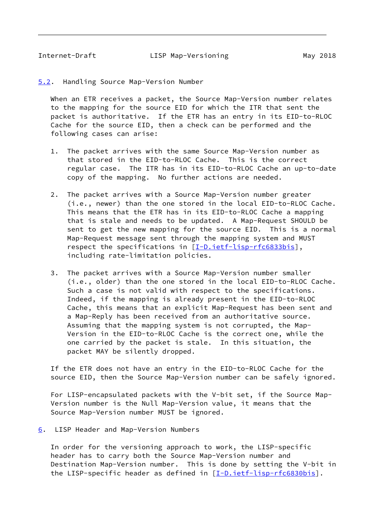<span id="page-9-1"></span><span id="page-9-0"></span>[5.2](#page-9-0). Handling Source Map-Version Number

When an ETR receives a packet, the Source Map-Version number relates to the mapping for the source EID for which the ITR that sent the packet is authoritative. If the ETR has an entry in its EID-to-RLOC Cache for the source EID, then a check can be performed and the following cases can arise:

- 1. The packet arrives with the same Source Map-Version number as that stored in the EID-to-RLOC Cache. This is the correct regular case. The ITR has in its EID-to-RLOC Cache an up-to-date copy of the mapping. No further actions are needed.
- 2. The packet arrives with a Source Map-Version number greater (i.e., newer) than the one stored in the local EID-to-RLOC Cache. This means that the ETR has in its EID-to-RLOC Cache a mapping that is stale and needs to be updated. A Map-Request SHOULD be sent to get the new mapping for the source EID. This is a normal Map-Request message sent through the mapping system and MUST respect the specifications in [[I-D.ietf-lisp-rfc6833bis\]](#page-20-3), including rate-limitation policies.
- 3. The packet arrives with a Source Map-Version number smaller (i.e., older) than the one stored in the local EID-to-RLOC Cache. Such a case is not valid with respect to the specifications. Indeed, if the mapping is already present in the EID-to-RLOC Cache, this means that an explicit Map-Request has been sent and a Map-Reply has been received from an authoritative source. Assuming that the mapping system is not corrupted, the Map- Version in the EID-to-RLOC Cache is the correct one, while the one carried by the packet is stale. In this situation, the packet MAY be silently dropped.

 If the ETR does not have an entry in the EID-to-RLOC Cache for the source EID, then the Source Map-Version number can be safely ignored.

 For LISP-encapsulated packets with the V-bit set, if the Source Map- Version number is the Null Map-Version value, it means that the Source Map-Version number MUST be ignored.

<span id="page-9-2"></span>[6](#page-9-2). LISP Header and Map-Version Numbers

 In order for the versioning approach to work, the LISP-specific header has to carry both the Source Map-Version number and Destination Map-Version number. This is done by setting the V-bit in the LISP-specific header as defined in [\[I-D.ietf-lisp-rfc6830bis](#page-20-2)].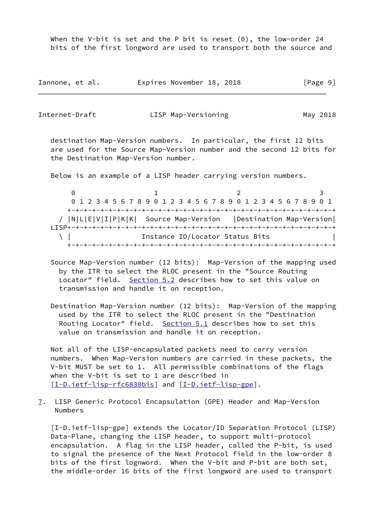When the V-bit is set and the P bit is reset  $(0)$ , the low-order 24 bits of the first longword are used to transport both the source and

| Iannone, et al. | Expires November 18, 2018 |  | [Page 9] |
|-----------------|---------------------------|--|----------|
|-----------------|---------------------------|--|----------|

<span id="page-10-0"></span>

| Internet-Draft | LISP Map-Versioning | May 2018 |
|----------------|---------------------|----------|
|                |                     |          |

 destination Map-Version numbers. In particular, the first 12 bits are used for the Source Map-Version number and the second 12 bits for the Destination Map-Version number.

Below is an example of a LISP header carrying version numbers.

 $0$  1 2 3 0 1 2 3 4 5 6 7 8 9 0 1 2 3 4 5 6 7 8 9 0 1 2 3 4 5 6 7 8 9 0 1 +-+-+-+-+-+-+-+-+-+-+-+-+-+-+-+-+-+-+-+-+-+-+-+-+-+-+-+-+-+-+-+-+ / |N|L|E|V|I|P|K|K| Source Map-Version |Destination Map-Version| LISP+-+-+-+-+-+-+-+-+-+-+-+-+-+-+-+-+-+-+-+-+-+-+-+-+-+-+-+-+-+-+-+-+ \ | Instance ID/Locator Status Bits | +-+-+-+-+-+-+-+-+-+-+-+-+-+-+-+-+-+-+-+-+-+-+-+-+-+-+-+-+-+-+-+-+

- Source Map-Version number (12 bits): Map-Version of the mapping used by the ITR to select the RLOC present in the "Source Routing Locator" field. [Section 5.2](#page-9-0) describes how to set this value on transmission and handle it on reception.
- Destination Map-Version number (12 bits): Map-Version of the mapping used by the ITR to select the RLOC present in the "Destination Routing Locator" field. [Section 5.1](#page-7-0) describes how to set this value on transmission and handle it on reception.

 Not all of the LISP-encapsulated packets need to carry version numbers. When Map-Version numbers are carried in these packets, the V-bit MUST be set to 1. All permissible combinations of the flags when the V-bit is set to 1 are described in [\[I-D.ietf-lisp-rfc6830bis](#page-20-2)] and [\[I-D.ietf-lisp-gpe](#page-10-1)].

<span id="page-10-2"></span>[7](#page-10-2). LISP Generic Protocol Encapsulation (GPE) Header and Map-Version Numbers

<span id="page-10-1"></span> [I-D.ietf-lisp-gpe] extends the Locator/ID Separation Protocol (LISP) Data-Plane, changing the LISP header, to support multi-protocol encapsulation. A flag in the LISP header, called the P-bit, is used to signal the presence of the Next Protocol field in the low-order 8 bits of the first lognword. When the V-bit and P-bit are both set, the middle-order 16 bits of the first longword are used to transport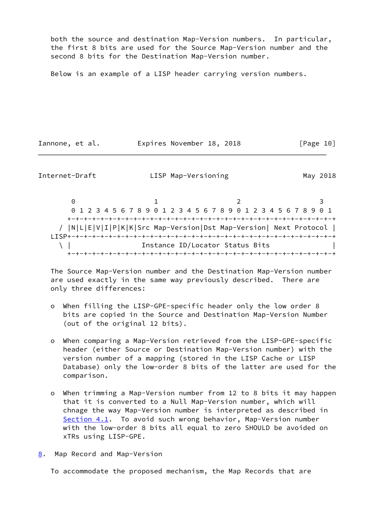both the source and destination Map-Version numbers. In particular, the first 8 bits are used for the Source Map-Version number and the second 8 bits for the Destination Map-Version number.

Below is an example of a LISP header carrying version numbers.

Iannone, et al. **Expires November 18, 2018**[Page 10]

<span id="page-11-1"></span>Internet-Draft LISP Map-Versioning May 2018

 $0$  1 2 3 0 1 2 3 4 5 6 7 8 9 0 1 2 3 4 5 6 7 8 9 0 1 2 3 4 5 6 7 8 9 0 1 +-+-+-+-+-+-+-+-+-+-+-+-+-+-+-+-+-+-+-+-+-+-+-+-+-+-+-+-+-+-+-+-+ / |N|L|E|V|I|P|K|K|Src Map-Version|Dst Map-Version| Next Protocol | LISP+-+-+-+-+-+-+-+-+-+-+-+-+-+-+-+-+-+-+-+-+-+-+-+-+-+-+-+-+-+-+-+-+ \ | Instance ID/Locator Status Bits | +-+-+-+-+-+-+-+-+-+-+-+-+-+-+-+-+-+-+-+-+-+-+-+-+-+-+-+-+-+-+-+-+

 The Source Map-Version number and the Destination Map-Version number are used exactly in the same way previously described. There are only three differences:

- o When filling the LISP-GPE-specific header only the low order 8 bits are copied in the Source and Destination Map-Version Number (out of the original 12 bits).
- o When comparing a Map-Version retrieved from the LISP-GPE-specific header (either Source or Destination Map-Version number) with the version number of a mapping (stored in the LISP Cache or LISP Database) only the low-order 8 bits of the latter are used for the comparison.
- o When trimming a Map-Version number from 12 to 8 bits it may happen that it is converted to a Null Map-Version number, which will chnage the way Map-Version number is interpreted as described in [Section 4.1](#page-5-0). To avoid such wrong behavior, Map-Version number with the low-order 8 bits all equal to zero SHOULD be avoided on xTRs using LISP-GPE.
- <span id="page-11-0"></span>[8](#page-11-0). Map Record and Map-Version

To accommodate the proposed mechanism, the Map Records that are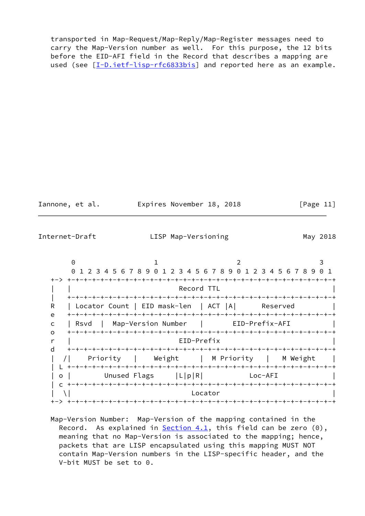transported in Map-Request/Map-Reply/Map-Register messages need to carry the Map-Version number as well. For this purpose, the 12 bits before the EID-AFI field in the Record that describes a mapping are used (see  $[I-D.iett-lisp-rfc6833bis]$  and reported here as an example.

Iannone, et al. **Expires November 18, 2018**[Page 11]

<span id="page-12-0"></span>Internet-Draft LISP Map-Versioning May 2018

 $0$  1 2 3 0 1 2 3 4 5 6 7 8 9 0 1 2 3 4 5 6 7 8 9 0 1 2 3 4 5 6 7 8 9 0 1 +-> +-+-+-+-+-+-+-+-+-+-+-+-+-+-+-+-+-+-+-+-+-+-+-+-+-+-+-+-+-+-+-+-+ Record TTL | +-+-+-+-+-+-+-+-+-+-+-+-+-+-+-+-+-+-+-+-+-+-+-+-+-+-+-+-+-+-+-+-+ R | Locator Count | EID mask-len | ACT |A| Reserved e +-+-+-+-+-+-+-+-+-+-+-+-+-+-+-+-+-+-+-+-+-+-+-+-+-+-+-+-+-+-+-+-+ c | Rsvd | Map-Version Number | EID-Prefix-AFI | o +-+-+-+-+-+-+-+-+-+-+-+-+-+-+-+-+-+-+-+-+-+-+-+-+-+-+-+-+-+-+-+-+ r | EID-Prefix | d +-+-+-+-+-+-+-+-+-+-+-+-+-+-+-+-+-+-+-+-+-+-+-+-+-+-+-+-+-+-+-+-+ | /| Priority | Weight | M Priority | M Weight | | L +-+-+-+-+-+-+-+-+-+-+-+-+-+-+-+-+-+-+-+-+-+-+-+-+-+-+-+-+-+-+-+-+ | o | Unused Flags | L|p|R| Loc-AFI | c +-+-+-+-+-+-+-+-+-+-+-+-+-+-+-+-+-+-+-+-+-+-+-+-+-+-+-+-+-+-+-+-+  $|\n\begin{array}{ccc} \set{\end{array}}\n\begin{array}{ccc} \set{\end{array}}\n\end{array}$ +-> +-+-+-+-+-+-+-+-+-+-+-+-+-+-+-+-+-+-+-+-+-+-+-+-+-+-+-+-+-+-+-+-+

 Map-Version Number: Map-Version of the mapping contained in the Record. As explained in  $Section 4.1$ , this field can be zero  $(0)$ , meaning that no Map-Version is associated to the mapping; hence, packets that are LISP encapsulated using this mapping MUST NOT contain Map-Version numbers in the LISP-specific header, and the V-bit MUST be set to 0.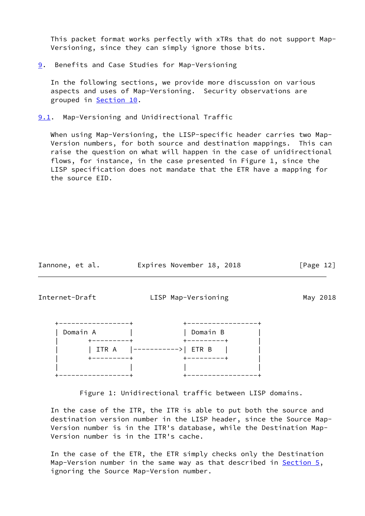This packet format works perfectly with xTRs that do not support Map- Versioning, since they can simply ignore those bits.

<span id="page-13-0"></span>[9](#page-13-0). Benefits and Case Studies for Map-Versioning

 In the following sections, we provide more discussion on various aspects and uses of Map-Versioning. Security observations are grouped in [Section 10.](#page-16-1)

<span id="page-13-1"></span>[9.1](#page-13-1). Map-Versioning and Unidirectional Traffic

 When using Map-Versioning, the LISP-specific header carries two Map- Version numbers, for both source and destination mappings. This can raise the question on what will happen in the case of unidirectional flows, for instance, in the case presented in Figure 1, since the LISP specification does not mandate that the ETR have a mapping for the source EID.

Iannone, et al. **Expires November 18, 2018** [Page 12]

<span id="page-13-2"></span>

Internet-Draft LISP Map-Versioning May 2018

| Domain A | Domain B            |
|----------|---------------------|
|          | --------            |
| ITR A    | ----------->  ETR B |
| -------  | --------            |
|          |                     |
|          |                     |

Figure 1: Unidirectional traffic between LISP domains.

 In the case of the ITR, the ITR is able to put both the source and destination version number in the LISP header, since the Source Map- Version number is in the ITR's database, while the Destination Map- Version number is in the ITR's cache.

 In the case of the ETR, the ETR simply checks only the Destination Map-Version number in the same way as that described in [Section 5](#page-6-0), ignoring the Source Map-Version number.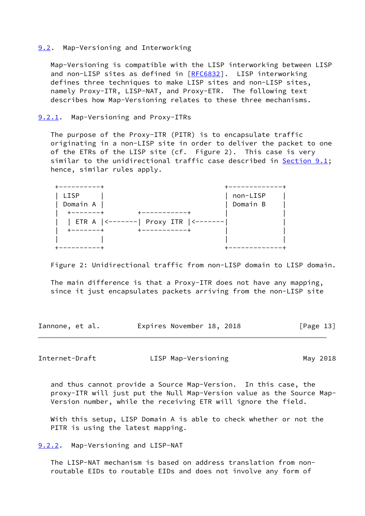#### <span id="page-14-0"></span>[9.2](#page-14-0). Map-Versioning and Interworking

 Map-Versioning is compatible with the LISP interworking between LISP and non-LISP sites as defined in [\[RFC6832](https://datatracker.ietf.org/doc/pdf/rfc6832)]. LISP interworking defines three techniques to make LISP sites and non-LISP sites, namely Proxy-ITR, LISP-NAT, and Proxy-ETR. The following text describes how Map-Versioning relates to these three mechanisms.

## <span id="page-14-1"></span>[9.2.1](#page-14-1). Map-Versioning and Proxy-ITRs

 The purpose of the Proxy-ITR (PITR) is to encapsulate traffic originating in a non-LISP site in order to deliver the packet to one of the ETRs of the LISP site (cf. Figure 2). This case is very similar to the unidirectional traffic case described in [Section 9.1](#page-13-1); hence, similar rules apply.

| LISP                                            | non-LISP |
|-------------------------------------------------|----------|
| Domain A                                        | Domain B |
| $-------$                                       |          |
| Proxy ITR $ $ <-------<br>  ETR A $ $ <-------- |          |
| .                                               |          |
|                                                 |          |
|                                                 |          |

Figure 2: Unidirectional traffic from non-LISP domain to LISP domain.

 The main difference is that a Proxy-ITR does not have any mapping, since it just encapsulates packets arriving from the non-LISP site

Iannone, et al. **Expires November 18, 2018** [Page 13]

<span id="page-14-3"></span>Internet-Draft LISP Map-Versioning May 2018

 and thus cannot provide a Source Map-Version. In this case, the proxy-ITR will just put the Null Map-Version value as the Source Map- Version number, while the receiving ETR will ignore the field.

 With this setup, LISP Domain A is able to check whether or not the PITR is using the latest mapping.

<span id="page-14-2"></span>[9.2.2](#page-14-2). Map-Versioning and LISP-NAT

 The LISP-NAT mechanism is based on address translation from non routable EIDs to routable EIDs and does not involve any form of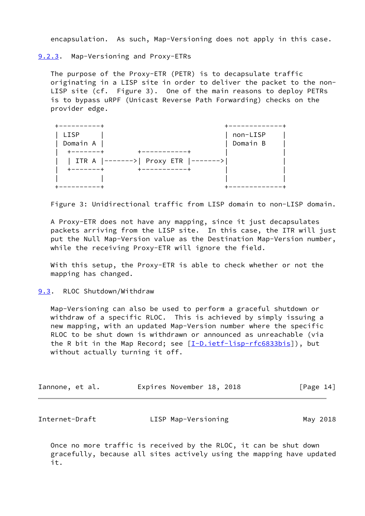encapsulation. As such, Map-Versioning does not apply in this case.

<span id="page-15-0"></span>[9.2.3](#page-15-0). Map-Versioning and Proxy-ETRs

 The purpose of the Proxy-ETR (PETR) is to decapsulate traffic originating in a LISP site in order to deliver the packet to the non- LISP site (cf. Figure 3). One of the main reasons to deploy PETRs is to bypass uRPF (Unicast Reverse Path Forwarding) checks on the provider edge.

| LISP                                 | non-LISP |  |
|--------------------------------------|----------|--|
| Domain A                             | Domain B |  |
| . — — — — — 4                        |          |  |
| ITR A  ------->  Proxy ETR  -------> |          |  |
| -------<br>----------                |          |  |
|                                      |          |  |
|                                      |          |  |

Figure 3: Unidirectional traffic from LISP domain to non-LISP domain.

 A Proxy-ETR does not have any mapping, since it just decapsulates packets arriving from the LISP site. In this case, the ITR will just put the Null Map-Version value as the Destination Map-Version number, while the receiving Proxy-ETR will ignore the field.

 With this setup, the Proxy-ETR is able to check whether or not the mapping has changed.

<span id="page-15-1"></span>[9.3](#page-15-1). RLOC Shutdown/Withdraw

 Map-Versioning can also be used to perform a graceful shutdown or withdraw of a specific RLOC. This is achieved by simply issuing a new mapping, with an updated Map-Version number where the specific RLOC to be shut down is withdrawn or announced as unreachable (via the R bit in the Map Record; see [\[I-D.ietf-lisp-rfc6833bis](#page-20-3)]), but without actually turning it off.

| Iannone, et al. | Expires November 18, 2018 |  | [Page 14] |
|-----------------|---------------------------|--|-----------|
|-----------------|---------------------------|--|-----------|

<span id="page-15-2"></span>

| Internet-Draft<br>LISP Map-Versioning | May 2018 |
|---------------------------------------|----------|
|---------------------------------------|----------|

 Once no more traffic is received by the RLOC, it can be shut down gracefully, because all sites actively using the mapping have updated it.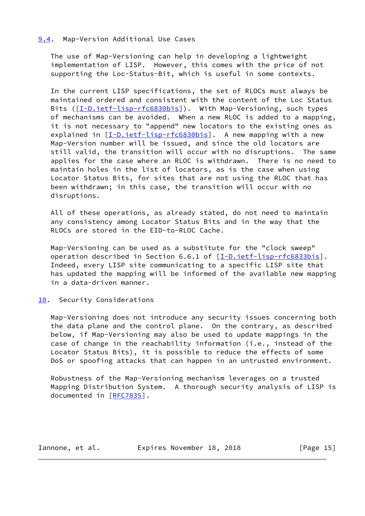## <span id="page-16-0"></span>[9.4](#page-16-0). Map-Version Additional Use Cases

 The use of Map-Versioning can help in developing a lightweight implementation of LISP. However, this comes with the price of not supporting the Loc-Status-Bit, which is useful in some contexts.

 In the current LISP specifications, the set of RLOCs must always be maintained ordered and consistent with the content of the Loc Status Bits ([[I-D.ietf-lisp-rfc6830bis\]](#page-20-2)). With Map-Versioning, such types of mechanisms can be avoided. When a new RLOC is added to a mapping, it is not necessary to "append" new locators to the existing ones as explained in [\[I-D.ietf-lisp-rfc6830bis](#page-20-2)]. A new mapping with a new Map-Version number will be issued, and since the old locators are still valid, the transition will occur with no disruptions. The same applies for the case where an RLOC is withdrawn. There is no need to maintain holes in the list of locators, as is the case when using Locator Status Bits, for sites that are not using the RLOC that has been withdrawn; in this case, the transition will occur with no disruptions.

 All of these operations, as already stated, do not need to maintain any consistency among Locator Status Bits and in the way that the RLOCs are stored in the EID-to-RLOC Cache.

 Map-Versioning can be used as a substitute for the "clock sweep" operation described in Section 6.6.1 of [\[I-D.ietf-lisp-rfc6833bis](#page-20-3)]. Indeed, every LISP site communicating to a specific LISP site that has updated the mapping will be informed of the available new mapping in a data-driven manner.

## <span id="page-16-1"></span>[10.](#page-16-1) Security Considerations

 Map-Versioning does not introduce any security issues concerning both the data plane and the control plane. On the contrary, as described below, if Map-Versioning may also be used to update mappings in the case of change in the reachability information (i.e., instead of the Locator Status Bits), it is possible to reduce the effects of some DoS or spoofing attacks that can happen in an untrusted environment.

 Robustness of the Map-Versioning mechanism leverages on a trusted Mapping Distribution System. A thorough security analysis of LISP is documented in [[RFC7835](https://datatracker.ietf.org/doc/pdf/rfc7835)].

Iannone, et al. **Expires November 18, 2018**[Page 15]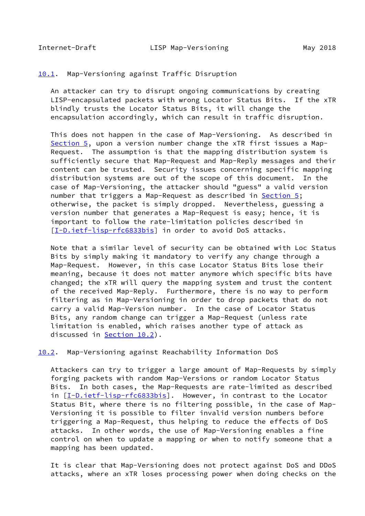### <span id="page-17-1"></span><span id="page-17-0"></span>[10.1](#page-17-0). Map-Versioning against Traffic Disruption

 An attacker can try to disrupt ongoing communications by creating LISP-encapsulated packets with wrong Locator Status Bits. If the xTR blindly trusts the Locator Status Bits, it will change the encapsulation accordingly, which can result in traffic disruption.

 This does not happen in the case of Map-Versioning. As described in [Section 5](#page-6-0), upon a version number change the xTR first issues a Map- Request. The assumption is that the mapping distribution system is sufficiently secure that Map-Request and Map-Reply messages and their content can be trusted. Security issues concerning specific mapping distribution systems are out of the scope of this document. In the case of Map-Versioning, the attacker should "guess" a valid version number that triggers a Map-Request as described in [Section 5;](#page-6-0) otherwise, the packet is simply dropped. Nevertheless, guessing a version number that generates a Map-Request is easy; hence, it is important to follow the rate-limitation policies described in [\[I-D.ietf-lisp-rfc6833bis](#page-20-3)] in order to avoid DoS attacks.

 Note that a similar level of security can be obtained with Loc Status Bits by simply making it mandatory to verify any change through a Map-Request. However, in this case Locator Status Bits lose their meaning, because it does not matter anymore which specific bits have changed; the xTR will query the mapping system and trust the content of the received Map-Reply. Furthermore, there is no way to perform filtering as in Map-Versioning in order to drop packets that do not carry a valid Map-Version number. In the case of Locator Status Bits, any random change can trigger a Map-Request (unless rate limitation is enabled, which raises another type of attack as discussed in [Section 10.2](#page-17-2)).

#### <span id="page-17-2"></span>[10.2](#page-17-2). Map-Versioning against Reachability Information DoS

 Attackers can try to trigger a large amount of Map-Requests by simply forging packets with random Map-Versions or random Locator Status Bits. In both cases, the Map-Requests are rate-limited as described in [[I-D.ietf-lisp-rfc6833bis\]](#page-20-3). However, in contrast to the Locator Status Bit, where there is no filtering possible, in the case of Map- Versioning it is possible to filter invalid version numbers before triggering a Map-Request, thus helping to reduce the effects of DoS attacks. In other words, the use of Map-Versioning enables a fine control on when to update a mapping or when to notify someone that a mapping has been updated.

 It is clear that Map-Versioning does not protect against DoS and DDoS attacks, where an xTR loses processing power when doing checks on the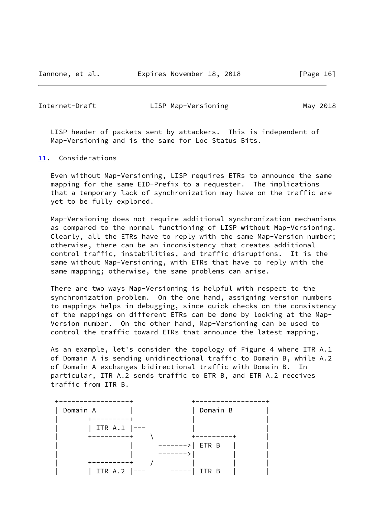Iannone, et al. Expires November 18, 2018 [Page 16]

<span id="page-18-1"></span>Internet-Draft LISP Map-Versioning May 2018

 LISP header of packets sent by attackers. This is independent of Map-Versioning and is the same for Loc Status Bits.

<span id="page-18-0"></span>[11.](#page-18-0) Considerations

 Even without Map-Versioning, LISP requires ETRs to announce the same mapping for the same EID-Prefix to a requester. The implications that a temporary lack of synchronization may have on the traffic are yet to be fully explored.

 Map-Versioning does not require additional synchronization mechanisms as compared to the normal functioning of LISP without Map-Versioning. Clearly, all the ETRs have to reply with the same Map-Version number; otherwise, there can be an inconsistency that creates additional control traffic, instabilities, and traffic disruptions. It is the same without Map-Versioning, with ETRs that have to reply with the same mapping; otherwise, the same problems can arise.

 There are two ways Map-Versioning is helpful with respect to the synchronization problem. On the one hand, assigning version numbers to mappings helps in debugging, since quick checks on the consistency of the mappings on different ETRs can be done by looking at the Map- Version number. On the other hand, Map-Versioning can be used to control the traffic toward ETRs that announce the latest mapping.

 As an example, let's consider the topology of Figure 4 where ITR A.1 of Domain A is sending unidirectional traffic to Domain B, while A.2 of Domain A exchanges bidirectional traffic with Domain B. In particular, ITR A.2 sends traffic to ETR B, and ETR A.2 receives traffic from ITR B.

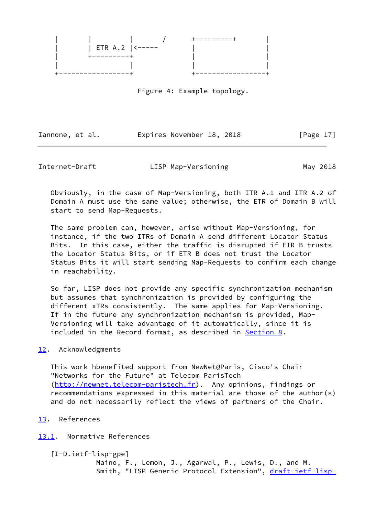

Figure 4: Example topology.

Iannone, et al. Expires November 18, 2018 [Page 17]

<span id="page-19-1"></span>

Internet-Draft **LISP Map-Versioning** May 2018

 Obviously, in the case of Map-Versioning, both ITR A.1 and ITR A.2 of Domain A must use the same value; otherwise, the ETR of Domain B will start to send Map-Requests.

 The same problem can, however, arise without Map-Versioning, for instance, if the two ITRs of Domain A send different Locator Status Bits. In this case, either the traffic is disrupted if ETR B trusts the Locator Status Bits, or if ETR B does not trust the Locator Status Bits it will start sending Map-Requests to confirm each change in reachability.

 So far, LISP does not provide any specific synchronization mechanism but assumes that synchronization is provided by configuring the different xTRs consistently. The same applies for Map-Versioning. If in the future any synchronization mechanism is provided, Map- Versioning will take advantage of it automatically, since it is included in the Record format, as described in [Section 8.](#page-11-0)

## <span id="page-19-0"></span>[12.](#page-19-0) Acknowledgments

 This work hbenefited support from NewNet@Paris, Cisco's Chair "Networks for the Future" at Telecom ParisTech [\(http://newnet.telecom-paristech.fr\)](http://newnet.telecom-paristech.fr). Any opinions, findings or recommendations expressed in this material are those of the author(s) and do not necessarily reflect the views of partners of the Chair.

<span id="page-19-2"></span>[13.](#page-19-2) References

<span id="page-19-3"></span>[13.1](#page-19-3). Normative References

[I-D.ietf-lisp-gpe]

 Maino, F., Lemon, J., Agarwal, P., Lewis, D., and M. Smith, "LISP Generic Protocol Extension", [draft-ietf-lisp-](https://datatracker.ietf.org/doc/pdf/draft-ietf-lisp-gpe-03)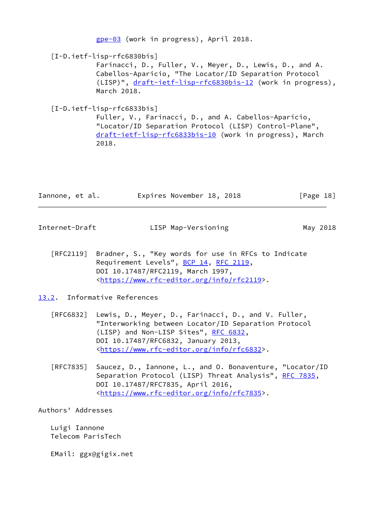[gpe-03](https://datatracker.ietf.org/doc/pdf/draft-ietf-lisp-gpe-03) (work in progress), April 2018.

```
 [I-D.ietf-lisp-rfc6830bis]
```
 Farinacci, D., Fuller, V., Meyer, D., Lewis, D., and A. Cabellos-Aparicio, "The Locator/ID Separation Protocol (LISP)", [draft-ietf-lisp-rfc6830bis-12](https://datatracker.ietf.org/doc/pdf/draft-ietf-lisp-rfc6830bis-12) (work in progress), March 2018.

```
 [I-D.ietf-lisp-rfc6833bis]
```
 Fuller, V., Farinacci, D., and A. Cabellos-Aparicio, "Locator/ID Separation Protocol (LISP) Control-Plane", [draft-ietf-lisp-rfc6833bis-10](https://datatracker.ietf.org/doc/pdf/draft-ietf-lisp-rfc6833bis-10) (work in progress), March 2018.

| Iannone, et al. | Expires November 18, 2018 | [Page 18] |
|-----------------|---------------------------|-----------|
|-----------------|---------------------------|-----------|

<span id="page-20-1"></span>

Internet-Draft LISP Map-Versioning May 2018

 [RFC2119] Bradner, S., "Key words for use in RFCs to Indicate Requirement Levels", [BCP 14](https://datatracker.ietf.org/doc/pdf/bcp14), [RFC 2119](https://datatracker.ietf.org/doc/pdf/rfc2119), DOI 10.17487/RFC2119, March 1997, <[https://www.rfc-editor.org/info/rfc2119>](https://www.rfc-editor.org/info/rfc2119).

# <span id="page-20-0"></span>[13.2](#page-20-0). Informative References

- [RFC6832] Lewis, D., Meyer, D., Farinacci, D., and V. Fuller, "Interworking between Locator/ID Separation Protocol (LISP) and Non-LISP Sites", [RFC 6832,](https://datatracker.ietf.org/doc/pdf/rfc6832) DOI 10.17487/RFC6832, January 2013, <[https://www.rfc-editor.org/info/rfc6832>](https://www.rfc-editor.org/info/rfc6832).
- [RFC7835] Saucez, D., Iannone, L., and O. Bonaventure, "Locator/ID Separation Protocol (LISP) Threat Analysis", [RFC 7835](https://datatracker.ietf.org/doc/pdf/rfc7835), DOI 10.17487/RFC7835, April 2016, <[https://www.rfc-editor.org/info/rfc7835>](https://www.rfc-editor.org/info/rfc7835).

Authors' Addresses

 Luigi Iannone Telecom ParisTech

EMail: ggx@gigix.net